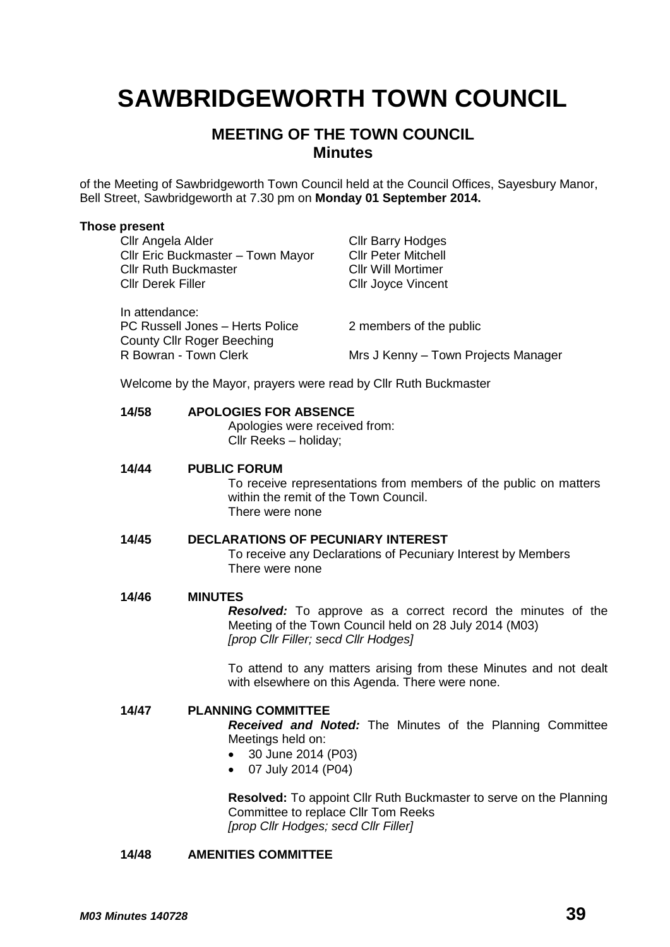# **SAWBRIDGEWORTH TOWN COUNCIL**

## **MEETING OF THE TOWN COUNCIL Minutes**

of the Meeting of Sawbridgeworth Town Council held at the Council Offices, Sayesbury Manor, Bell Street, Sawbridgeworth at 7.30 pm on **Monday 01 September 2014.**

#### **Those present**

| Cllr Angela Alder<br>Cllr Eric Buckmaster - Town Mayor<br><b>Cllr Ruth Buckmaster</b><br><b>Cllr Derek Filler</b> | <b>Cllr Barry Hodges</b><br><b>Cllr Peter Mitchell</b><br><b>CIIr Will Mortimer</b><br><b>CIIr Joyce Vincent</b> |
|-------------------------------------------------------------------------------------------------------------------|------------------------------------------------------------------------------------------------------------------|
| In attendance:<br>PC Russell Jones - Herts Police<br><b>County Cllr Roger Beeching</b>                            | 2 members of the public                                                                                          |
| R Bowran - Town Clerk                                                                                             | Mrs J Kenny – Town Projects Manager                                                                              |

Welcome by the Mayor, prayers were read by Cllr Ruth Buckmaster

#### **14/58 APOLOGIES FOR ABSENCE**

Apologies were received from: Cllr Reeks – holiday;

**14/44 PUBLIC FORUM** To receive representations from members of the public on matters within the remit of the Town Council. There were none

## **14/45 DECLARATIONS OF PECUNIARY INTEREST**

To receive any Declarations of Pecuniary Interest by Members There were none

#### **14/46 MINUTES**

*Resolved:* To approve as a correct record the minutes of the Meeting of the Town Council held on 28 July 2014 (M03) *[prop Cllr Filler; secd Cllr Hodges]*

To attend to any matters arising from these Minutes and not dealt with elsewhere on this Agenda. There were none.

**14/47 PLANNING COMMITTEE** *Received and Noted:* The Minutes of the Planning Committee Meetings held on: 30 June 2014 (P03)

07 July 2014 (P04)

**Resolved:** To appoint Cllr Ruth Buckmaster to serve on the Planning Committee to replace Cllr Tom Reeks *[prop Cllr Hodges; secd Cllr Filler]*

#### **14/48 AMENITIES COMMITTEE**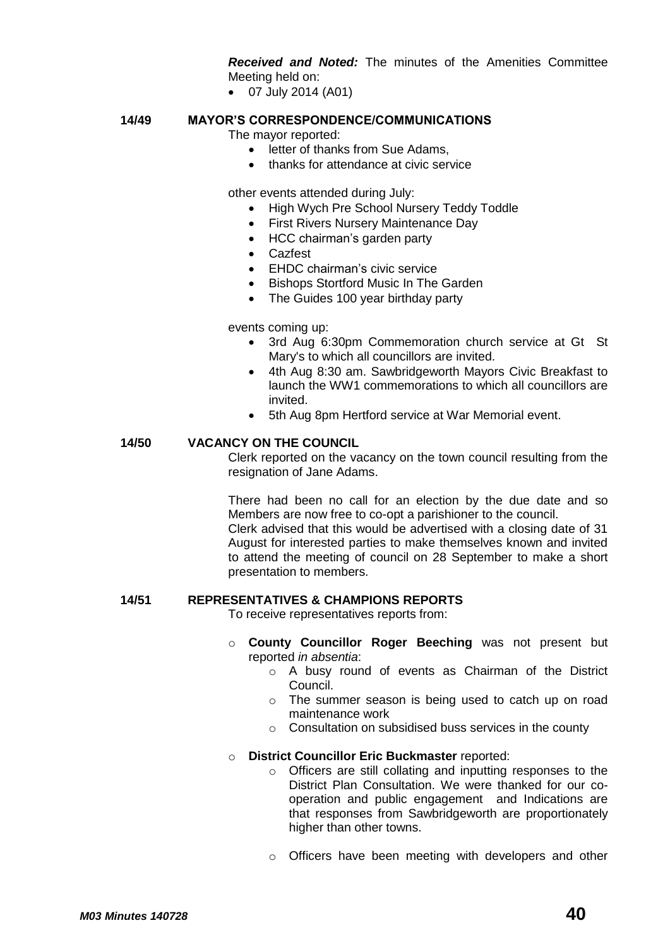*Received and Noted:* The minutes of the Amenities Committee Meeting held on:

07 July 2014 (A01)

#### **14/49 MAYOR'S CORRESPONDENCE/COMMUNICATIONS**

The mayor reported:

- letter of thanks from Sue Adams,
- thanks for attendance at civic service

other events attended during July:

- High Wych Pre School Nursery Teddy Toddle
- First Rivers Nursery Maintenance Day
- HCC chairman's garden party
- Cazfest
- EHDC chairman's civic service
- Bishops Stortford Music In The Garden
- The Guides 100 year birthday party

events coming up:

- 3rd Aug 6:30pm Commemoration church service at Gt St Mary's to which all councillors are invited.
- 4th Aug 8:30 am. Sawbridgeworth Mayors Civic Breakfast to launch the WW1 commemorations to which all councillors are invited.
- 5th Aug 8pm Hertford service at War Memorial event.

#### **14/50 VACANCY ON THE COUNCIL**

Clerk reported on the vacancy on the town council resulting from the resignation of Jane Adams.

There had been no call for an election by the due date and so Members are now free to co-opt a parishioner to the council.

Clerk advised that this would be advertised with a closing date of 31 August for interested parties to make themselves known and invited to attend the meeting of council on 28 September to make a short presentation to members.

### **14/51 REPRESENTATIVES & CHAMPIONS REPORTS**

To receive representatives reports from:

- o **County Councillor Roger Beeching** was not present but reported *in absentia*:
	- o A busy round of events as Chairman of the District Council.
	- o The summer season is being used to catch up on road maintenance work
	- o Consultation on subsidised buss services in the county

#### o **District Councillor Eric Buckmaster** reported:

- o Officers are still collating and inputting responses to the District Plan Consultation. We were thanked for our cooperation and public engagement and Indications are that responses from Sawbridgeworth are proportionately higher than other towns.
- o Officers have been meeting with developers and other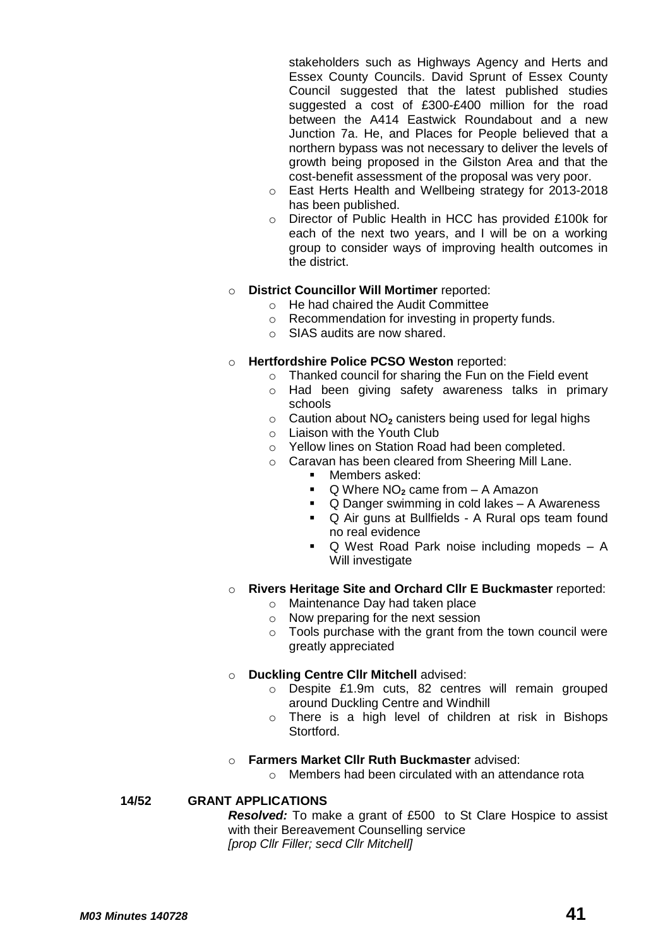stakeholders such as Highways Agency and Herts and Essex County Councils. David Sprunt of Essex County Council suggested that the latest published studies suggested a cost of £300-£400 million for the road between the A414 Eastwick Roundabout and a new Junction 7a. He, and Places for People believed that a northern bypass was not necessary to deliver the levels of growth being proposed in the Gilston Area and that the cost-benefit assessment of the proposal was very poor.

- o East Herts Health and Wellbeing strategy for 2013-2018 has been published.
- o Director of Public Health in HCC has provided £100k for each of the next two years, and I will be on a working group to consider ways of improving health outcomes in the district.

#### o **District Councillor Will Mortimer** reported:

- o He had chaired the Audit Committee
- o Recommendation for investing in property funds.
- o SIAS audits are now shared.

#### o **Hertfordshire Police PCSO Weston** reported:

- o Thanked council for sharing the Fun on the Field event
- o Had been giving safety awareness talks in primary schools
- o Caution about NO**<sup>2</sup>** canisters being used for legal highs
- o Liaison with the Youth Club
- o Yellow lines on Station Road had been completed.
- o Caravan has been cleared from Sheering Mill Lane.
	- Members asked:
		- Q Where NO**<sup>2</sup>** came from A Amazon
		- Q Danger swimming in cold lakes A Awareness
		- Q Air guns at Bullfields A Rural ops team found no real evidence
		- Q West Road Park noise including mopeds A Will investigate

#### o **Rivers Heritage Site and Orchard Cllr E Buckmaster** reported:

- o Maintenance Day had taken place
- o Now preparing for the next session
- $\circ$  Tools purchase with the grant from the town council were greatly appreciated

#### o **Duckling Centre Cllr Mitchell** advised:

- o Despite £1.9m cuts, 82 centres will remain grouped around Duckling Centre and Windhill
- o There is a high level of children at risk in Bishops Stortford.

#### o **Farmers Market Cllr Ruth Buckmaster** advised:

o Members had been circulated with an attendance rota

#### **14/52 GRANT APPLICATIONS**

*Resolved:* To make a grant of £500 to St Clare Hospice to assist with their Bereavement Counselling service *[prop Cllr Filler; secd Cllr Mitchell]*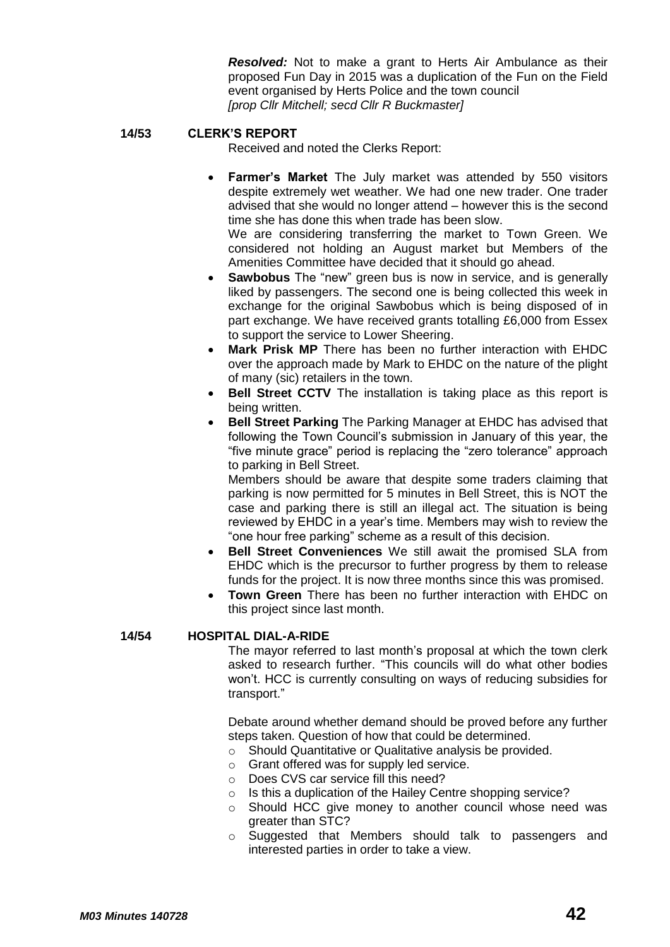*Resolved:* Not to make a grant to Herts Air Ambulance as their proposed Fun Day in 2015 was a duplication of the Fun on the Field event organised by Herts Police and the town council *[prop Cllr Mitchell; secd Cllr R Buckmaster]*

#### **14/53 CLERK'S REPORT**

Received and noted the Clerks Report:

 **Farmer's Market** The July market was attended by 550 visitors despite extremely wet weather. We had one new trader. One trader advised that she would no longer attend – however this is the second time she has done this when trade has been slow.

We are considering transferring the market to Town Green. We considered not holding an August market but Members of the Amenities Committee have decided that it should go ahead.

- **Sawbobus** The "new" green bus is now in service, and is generally liked by passengers. The second one is being collected this week in exchange for the original Sawbobus which is being disposed of in part exchange. We have received grants totalling £6,000 from Essex to support the service to Lower Sheering.
- **Mark Prisk MP** There has been no further interaction with EHDC over the approach made by Mark to EHDC on the nature of the plight of many (sic) retailers in the town.
- **Bell Street CCTV** The installation is taking place as this report is being written.
- **Bell Street Parking** The Parking Manager at EHDC has advised that following the Town Council's submission in January of this year, the "five minute grace" period is replacing the "zero tolerance" approach to parking in Bell Street.

Members should be aware that despite some traders claiming that parking is now permitted for 5 minutes in Bell Street, this is NOT the case and parking there is still an illegal act. The situation is being reviewed by EHDC in a year's time. Members may wish to review the "one hour free parking" scheme as a result of this decision.

- **Bell Street Conveniences** We still await the promised SLA from EHDC which is the precursor to further progress by them to release funds for the project. It is now three months since this was promised.
- **Town Green** There has been no further interaction with EHDC on this project since last month.

## **14/54 HOSPITAL DIAL-A-RIDE**

The mayor referred to last month's proposal at which the town clerk asked to research further. "This councils will do what other bodies won't. HCC is currently consulting on ways of reducing subsidies for transport."

Debate around whether demand should be proved before any further steps taken. Question of how that could be determined.

- o Should Quantitative or Qualitative analysis be provided.
- o Grant offered was for supply led service.
- o Does CVS car service fill this need?
- o Is this a duplication of the Hailey Centre shopping service?
- o Should HCC give money to another council whose need was greater than STC?
- o Suggested that Members should talk to passengers and interested parties in order to take a view.